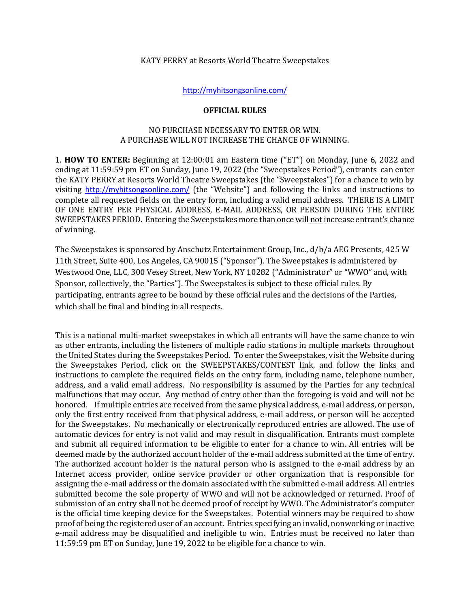#### KATY PERRY at Resorts World Theatre Sweepstakes

<http://myhitsongsonline.com/>

### **OFFICIAL RULES**

## NO PURCHASE NECESSARY TO ENTER OR WIN. A PURCHASE WILL NOT INCREASE THE CHANCE OF WINNING.

1. **HOW TO ENTER:** Beginning at 12:00:01 am Eastern time ("ET") on Monday, June 6, 2022 and ending at 11:59:59 pm ET on Sunday, June 19, 2022 (the "Sweepstakes Period"), entrants can enter the KATY PERRY at Resorts World Theatre Sweepstakes (the "Sweepstakes") for a chance to win by visiting [http://myhitsongsonline.com/](http://musicandprizes.com/) (the "Website") and following the links and instructions to complete all requested fields on the entry form, including a valid email address. THERE IS A LIMIT OF ONE ENTRY PER PHYSICAL ADDRESS, E-MAIL ADDRESS, OR PERSON DURING THE ENTIRE SWEEPSTAKES PERIOD. Entering the Sweepstakes more than once will not increase entrant's chance of winning.

The Sweepstakes is sponsored by Anschutz Entertainment Group, Inc., d/b/a AEG Presents, 425 W 11th Street, Suite 400, Los Angeles, CA 90015 ("Sponsor"). The Sweepstakes is administered by Westwood One, LLC, 300 Vesey Street, New York, NY 10282 ("Administrator" or "WWO" and, with Sponsor, collectively, the "Parties"). The Sweepstakes is subject to these official rules. By participating, entrants agree to be bound by these official rules and the decisions of the Parties, which shall be final and binding in all respects.

This is a national multi-market sweepstakes in which all entrants will have the same chance to win as other entrants, including the listeners of multiple radio stations in multiple markets throughout the United States during the Sweepstakes Period. To enter the Sweepstakes, visit the Website during the Sweepstakes Period, click on the SWEEPSTAKES/CONTEST link, and follow the links and instructions to complete the required fields on the entry form, including name, telephone number, address, and a valid email address. No responsibility is assumed by the Parties for any technical malfunctions that may occur. Any method of entry other than the foregoing is void and will not be honored. If multiple entries are received from the same physical address, e-mail address, or person, only the first entry received from that physical address, e-mail address, or person will be accepted for the Sweepstakes. No mechanically or electronically reproduced entries are allowed. The use of automatic devices for entry is not valid and may result in disqualification. Entrants must complete and submit all required information to be eligible to enter for a chance to win. All entries will be deemed made by the authorized account holder of the e-mail address submitted at the time of entry. The authorized account holder is the natural person who is assigned to the e-mail address by an Internet access provider, online service provider or other organization that is responsible for assigning the e-mail address or the domain associated with the submitted e-mail address. All entries submitted become the sole property of WWO and will not be acknowledged or returned. Proof of submission of an entry shall not be deemed proof of receipt by WWO. The Administrator's computer is the official time keeping device for the Sweepstakes. Potential winners may be required to show proof of being the registered user of an account. Entries specifying an invalid, nonworking or inactive e-mail address may be disqualified and ineligible to win. Entries must be received no later than 11:59:59 pm ET on Sunday, June 19, 2022 to be eligible for a chance to win.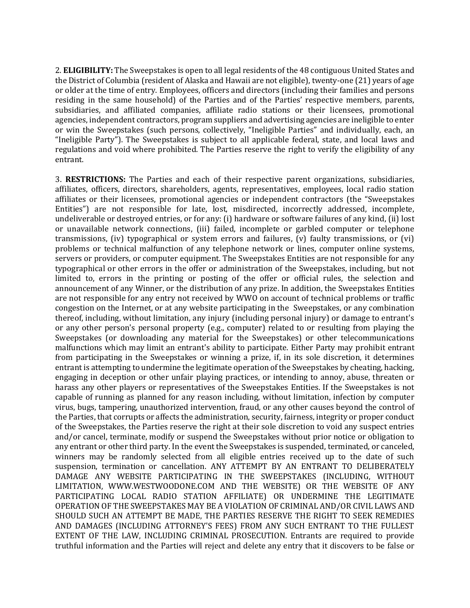2. **ELIGIBILITY:** The Sweepstakes is open to all legal residents of the 48 contiguous United States and the District of Columbia (resident of Alaska and Hawaii are not eligible), twenty-one (21) years of age or older at the time of entry. Employees, officers and directors (including their families and persons residing in the same household) of the Parties and of the Parties' respective members, parents, subsidiaries, and affiliated companies, affiliate radio stations or their licensees, promotional agencies, independent contractors, program suppliers and advertising agencies are ineligible to enter or win the Sweepstakes (such persons, collectively, "Ineligible Parties" and individually, each, an "Ineligible Party"). The Sweepstakes is subject to all applicable federal, state, and local laws and regulations and void where prohibited. The Parties reserve the right to verify the eligibility of any entrant.

3. **RESTRICTIONS:** The Parties and each of their respective parent organizations, subsidiaries, affiliates, officers, directors, shareholders, agents, representatives, employees, local radio station affiliates or their licensees, promotional agencies or independent contractors (the "Sweepstakes Entities") are not responsible for late, lost, misdirected, incorrectly addressed, incomplete, undeliverable or destroyed entries, or for any: (i) hardware or software failures of any kind, (ii) lost or unavailable network connections, (iii) failed, incomplete or garbled computer or telephone transmissions, (iv) typographical or system errors and failures, (v) faulty transmissions, or (vi) problems or technical malfunction of any telephone network or lines, computer online systems, servers or providers, or computer equipment. The Sweepstakes Entities are not responsible for any typographical or other errors in the offer or administration of the Sweepstakes, including, but not limited to, errors in the printing or posting of the offer or official rules, the selection and announcement of any Winner, or the distribution of any prize. In addition, the Sweepstakes Entities are not responsible for any entry not received by WWO on account of technical problems or traffic congestion on the Internet, or at any website participating in the Sweepstakes, or any combination thereof, including, without limitation, any injury (including personal injury) or damage to entrant's or any other person's personal property (e.g., computer) related to or resulting from playing the Sweepstakes (or downloading any material for the Sweepstakes) or other telecommunications malfunctions which may limit an entrant's ability to participate. Either Party may prohibit entrant from participating in the Sweepstakes or winning a prize, if, in its sole discretion, it determines entrant is attempting to undermine the legitimate operation of the Sweepstakes by cheating, hacking, engaging in deception or other unfair playing practices, or intending to annoy, abuse, threaten or harass any other players or representatives of the Sweepstakes Entities. If the Sweepstakes is not capable of running as planned for any reason including, without limitation, infection by computer virus, bugs, tampering, unauthorized intervention, fraud, or any other causes beyond the control of the Parties, that corrupts or affects the administration, security, fairness, integrity or proper conduct of the Sweepstakes, the Parties reserve the right at their sole discretion to void any suspect entries and/or cancel, terminate, modify or suspend the Sweepstakes without prior notice or obligation to any entrant or other third party. In the event the Sweepstakes is suspended, terminated, or canceled, winners may be randomly selected from all eligible entries received up to the date of such suspension, termination or cancellation. ANY ATTEMPT BY AN ENTRANT TO DELIBERATELY DAMAGE ANY WEBSITE PARTICIPATING IN THE SWEEPSTAKES (INCLUDING, WITHOUT LIMITATION, WWW.WESTWOODONE.COM AND THE WEBSITE) OR THE WEBSITE OF ANY PARTICIPATING LOCAL RADIO STATION AFFILIATE) OR UNDERMINE THE LEGITIMATE OPERATION OF THE SWEEPSTAKES MAY BE A VIOLATION OF CRIMINAL AND/OR CIVIL LAWS AND SHOULD SUCH AN ATTEMPT BE MADE, THE PARTIES RESERVE THE RIGHT TO SEEK REMEDIES AND DAMAGES (INCLUDING ATTORNEY'S FEES) FROM ANY SUCH ENTRANT TO THE FULLEST EXTENT OF THE LAW, INCLUDING CRIMINAL PROSECUTION. Entrants are required to provide truthful information and the Parties will reject and delete any entry that it discovers to be false or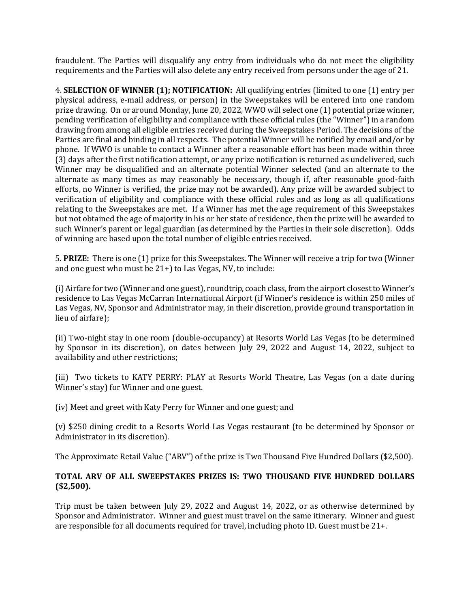fraudulent. The Parties will disqualify any entry from individuals who do not meet the eligibility requirements and the Parties will also delete any entry received from persons under the age of 21.

4. **SELECTION OF WINNER (1); NOTIFICATION:** All qualifying entries (limited to one (1) entry per physical address, e-mail address, or person) in the Sweepstakes will be entered into one random prize drawing. On or around Monday, June 20, 2022, WWO will select one (1) potential prize winner, pending verification of eligibility and compliance with these official rules (the "Winner") in a random drawing from among all eligible entries received during the Sweepstakes Period. The decisions of the Parties are final and binding in all respects. The potential Winner will be notified by email and/or by phone. If WWO is unable to contact a Winner after a reasonable effort has been made within three (3) days after the first notification attempt, or any prize notification is returned as undelivered, such Winner may be disqualified and an alternate potential Winner selected (and an alternate to the alternate as many times as may reasonably be necessary, though if, after reasonable good-faith efforts, no Winner is verified, the prize may not be awarded). Any prize will be awarded subject to verification of eligibility and compliance with these official rules and as long as all qualifications relating to the Sweepstakes are met. If a Winner has met the age requirement of this Sweepstakes but not obtained the age of majority in his or her state of residence, then the prize will be awarded to such Winner's parent or legal guardian (as determined by the Parties in their sole discretion). Odds of winning are based upon the total number of eligible entries received.

5. **PRIZE:** There is one (1) prize for this Sweepstakes. The Winner will receive a trip for two (Winner and one guest who must be 21+) to Las Vegas, NV, to include:

(i) Airfare for two (Winner and one guest), roundtrip, coach class, from the airport closest to Winner's residence to Las Vegas McCarran International Airport (if Winner's residence is within 250 miles of Las Vegas, NV, Sponsor and Administrator may, in their discretion, provide ground transportation in lieu of airfare);

(ii) Two-night stay in one room (double-occupancy) at Resorts World Las Vegas (to be determined by Sponsor in its discretion), on dates between July 29, 2022 and August 14, 2022, subject to availability and other restrictions;

(iii) Two tickets to KATY PERRY: PLAY at Resorts World Theatre, Las Vegas (on a date during Winner's stay) for Winner and one guest.

(iv) Meet and greet with Katy Perry for Winner and one guest; and

(v) \$250 dining credit to a Resorts World Las Vegas restaurant (to be determined by Sponsor or Administrator in its discretion).

The Approximate Retail Value ("ARV") of the prize is Two Thousand Five Hundred Dollars (\$2,500).

# **TOTAL ARV OF ALL SWEEPSTAKES PRIZES IS: TWO THOUSAND FIVE HUNDRED DOLLARS (\$2,500).**

Trip must be taken between July 29, 2022 and August 14, 2022, or as otherwise determined by Sponsor and Administrator. Winner and guest must travel on the same itinerary. Winner and guest are responsible for all documents required for travel, including photo ID. Guest must be 21+.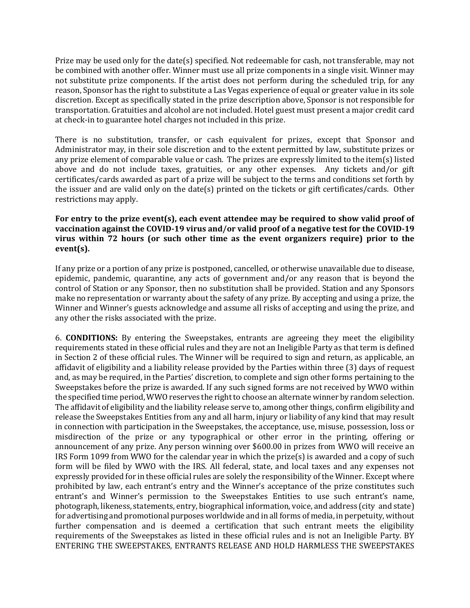Prize may be used only for the date(s) specified. Not redeemable for cash, not transferable, may not be combined with another offer. Winner must use all prize components in a single visit. Winner may not substitute prize components. If the artist does not perform during the scheduled trip, for any reason, Sponsor has the right to substitute a Las Vegas experience of equal or greater value in its sole discretion. Except as specifically stated in the prize description above, Sponsor is not responsible for transportation. Gratuities and alcohol are not included. Hotel guest must present a major credit card at check-in to guarantee hotel charges not included in this prize.

There is no substitution, transfer, or cash equivalent for prizes, except that Sponsor and Administrator may, in their sole discretion and to the extent permitted by law, substitute prizes or any prize element of comparable value or cash. The prizes are expressly limited to the item(s) listed above and do not include taxes, gratuities, or any other expenses. Any tickets and/or gift certificates/cards awarded as part of a prize will be subject to the terms and conditions set forth by the issuer and are valid only on the date(s) printed on the tickets or gift certificates/cards. Other restrictions may apply.

# **For entry to the prize event(s), each event attendee may be required to show valid proof of vaccination against the COVID-19 virus and/or valid proof of a negative test for the COVID-19 virus within 72 hours (or such other time as the event organizers require) prior to the event(s).**

If any prize or a portion of any prize is postponed, cancelled, or otherwise unavailable due to disease, epidemic, pandemic, quarantine, any acts of government and/or any reason that is beyond the control of Station or any Sponsor, then no substitution shall be provided. Station and any Sponsors make no representation or warranty about the safety of any prize. By accepting and using a prize, the Winner and Winner's guests acknowledge and assume all risks of accepting and using the prize, and any other the risks associated with the prize.

6. **CONDITIONS:** By entering the Sweepstakes, entrants are agreeing they meet the eligibility requirements stated in these official rules and they are not an Ineligible Party as that term is defined in Section 2 of these official rules. The Winner will be required to sign and return, as applicable, an affidavit of eligibility and a liability release provided by the Parties within three (3) days of request and, as may be required, in the Parties' discretion, to complete and sign other forms pertaining to the Sweepstakes before the prize is awarded. If any such signed forms are not received by WWO within the specified time period, WWO reserves the right to choose an alternate winner by random selection. The affidavit of eligibility and the liability release serve to, among other things, confirm eligibility and release the Sweepstakes Entities from any and all harm, injury or liability of any kind that may result in connection with participation in the Sweepstakes, the acceptance, use, misuse, possession, loss or misdirection of the prize or any typographical or other error in the printing, offering or announcement of any prize. Any person winning over \$600.00 in prizes from WWO will receive an IRS Form 1099 from WWO for the calendar year in which the prize(s) is awarded and a copy of such form will be filed by WWO with the IRS. All federal, state, and local taxes and any expenses not expressly provided for in these official rules are solely the responsibility of the Winner. Except where prohibited by law, each entrant's entry and the Winner's acceptance of the prize constitutes such entrant's and Winner's permission to the Sweepstakes Entities to use such entrant's name, photograph, likeness, statements, entry, biographical information, voice, and address (city and state) for advertising and promotional purposes worldwide and in all forms of media, in perpetuity, without further compensation and is deemed a certification that such entrant meets the eligibility requirements of the Sweepstakes as listed in these official rules and is not an Ineligible Party. BY ENTERING THE SWEEPSTAKES, ENTRANTS RELEASE AND HOLD HARMLESS THE SWEEPSTAKES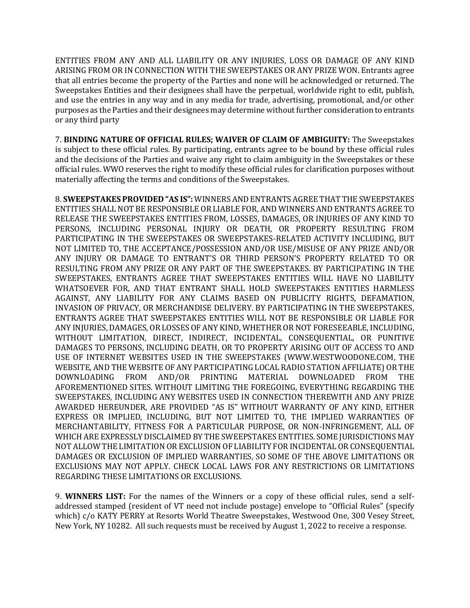ENTITIES FROM ANY AND ALL LIABILITY OR ANY INJURIES, LOSS OR DAMAGE OF ANY KIND ARISING FROM OR IN CONNECTION WITH THE SWEEPSTAKES OR ANY PRIZE WON. Entrants agree that all entries become the property of the Parties and none will be acknowledged or returned. The Sweepstakes Entities and their designees shall have the perpetual, worldwide right to edit, publish, and use the entries in any way and in any media for trade, advertising, promotional, and/or other purposes as the Parties and their designees may determine without further consideration to entrants or any third party

7. **BINDING NATURE OF OFFICIAL RULES; WAIVER OF CLAIM OF AMBIGUITY:** The Sweepstakes is subject to these official rules. By participating, entrants agree to be bound by these official rules and the decisions of the Parties and waive any right to claim ambiguity in the Sweepstakes or these official rules. WWO reserves the right to modify these official rules for clarification purposes without materially affecting the terms and conditions of the Sweepstakes.

8. **SWEEPSTAKES PROVIDED "AS IS":** WINNERS AND ENTRANTS AGREE THAT THE SWEEPSTAKES ENTITIES SHALL NOT BE RESPONSIBLE OR LIABLE FOR, AND WINNERS AND ENTRANTS AGREE TO RELEASE THE SWEEPSTAKES ENTITIES FROM, LOSSES, DAMAGES, OR INJURIES OF ANY KIND TO PERSONS, INCLUDING PERSONAL INJURY OR DEATH, OR PROPERTY RESULTING FROM PARTICIPATING IN THE SWEEPSTAKES OR SWEEPSTAKES-RELATED ACTIVITY INCLUDING, BUT NOT LIMITED TO, THE ACCEPTANCE/POSSESSION AND/OR USE/MISUSE OF ANY PRIZE AND/OR ANY INJURY OR DAMAGE TO ENTRANT'S OR THIRD PERSON'S PROPERTY RELATED TO OR RESULTING FROM ANY PRIZE OR ANY PART OF THE SWEEPSTAKES. BY PARTICIPATING IN THE SWEEPSTAKES, ENTRANTS AGREE THAT SWEEPSTAKES ENTITIES WILL HAVE NO LIABILITY WHATSOEVER FOR, AND THAT ENTRANT SHALL HOLD SWEEPSTAKES ENTITIES HARMLESS AGAINST, ANY LIABILITY FOR ANY CLAIMS BASED ON PUBLICITY RIGHTS, DEFAMATION, INVASION OF PRIVACY, OR MERCHANDISE DELIVERY. BY PARTICIPATING IN THE SWEEPSTAKES, ENTRANTS AGREE THAT SWEEPSTAKES ENTITIES WILL NOT BE RESPONSIBLE OR LIABLE FOR ANY INJURIES, DAMAGES, OR LOSSES OF ANY KIND, WHETHER OR NOT FORESEEABLE, INCLUDING, WITHOUT LIMITATION, DIRECT, INDIRECT, INCIDENTAL, CONSEQUENTIAL, OR PUNITIVE DAMAGES TO PERSONS, INCLUDING DEATH, OR TO PROPERTY ARISING OUT OF ACCESS TO AND USE OF INTERNET WEBSITES USED IN THE SWEEPSTAKES (WWW.WESTWOODONE.COM, THE WEBSITE, AND THE WEBSITE OF ANY PARTICIPATING LOCAL RADIO STATION AFFILIATE) OR THE DOWNLOADING FROM AND/OR PRINTING MATERIAL DOWNLOADED FROM THE AFOREMENTIONED SITES. WITHOUT LIMITING THE FOREGOING, EVERYTHING REGARDING THE SWEEPSTAKES, INCLUDING ANY WEBSITES USED IN CONNECTION THEREWITH AND ANY PRIZE AWARDED HEREUNDER, ARE PROVIDED "AS IS" WITHOUT WARRANTY OF ANY KIND, EITHER EXPRESS OR IMPLIED, INCLUDING, BUT NOT LIMITED TO, THE IMPLIED WARRANTIES OF MERCHANTABILITY, FITNESS FOR A PARTICULAR PURPOSE, OR NON-INFRINGEMENT, ALL OF WHICH ARE EXPRESSLY DISCLAIMED BY THE SWEEPSTAKES ENTITIES. SOME JURISDICTIONS MAY NOT ALLOW THE LIMITATION OR EXCLUSION OF LIABILITY FOR INCIDENTAL OR CONSEQUENTIAL DAMAGES OR EXCLUSION OF IMPLIED WARRANTIES, SO SOME OF THE ABOVE LIMITATIONS OR EXCLUSIONS MAY NOT APPLY. CHECK LOCAL LAWS FOR ANY RESTRICTIONS OR LIMITATIONS REGARDING THESE LIMITATIONS OR EXCLUSIONS.

9. **WINNERS LIST:** For the names of the Winners or a copy of these official rules, send a selfaddressed stamped (resident of VT need not include postage) envelope to "Official Rules" (specify which) c/o KATY PERRY at Resorts World Theatre Sweepstakes, Westwood One, 300 Vesey Street, New York, NY 10282. All such requests must be received by August 1, 2022 to receive a response.